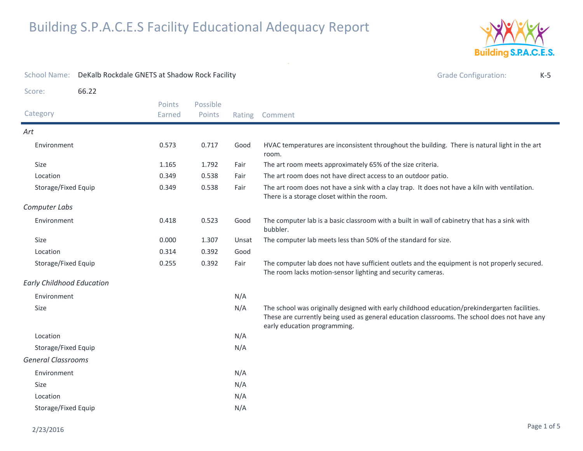

| <b>School Name:</b>              | DeKalb Rockdale GNETS at Shadow Rock Facility |                  |                    |        | <b>Grade Configuration:</b><br>$K-5$                                                                                                                                                                                          |
|----------------------------------|-----------------------------------------------|------------------|--------------------|--------|-------------------------------------------------------------------------------------------------------------------------------------------------------------------------------------------------------------------------------|
| Score:                           | 66.22                                         |                  |                    |        |                                                                                                                                                                                                                               |
| Category                         |                                               | Points<br>Earned | Possible<br>Points | Rating | Comment                                                                                                                                                                                                                       |
| Art                              |                                               |                  |                    |        |                                                                                                                                                                                                                               |
| Environment                      |                                               | 0.573            | 0.717              | Good   | HVAC temperatures are inconsistent throughout the building. There is natural light in the art<br>room.                                                                                                                        |
| Size                             |                                               | 1.165            | 1.792              | Fair   | The art room meets approximately 65% of the size criteria.                                                                                                                                                                    |
| Location                         |                                               | 0.349            | 0.538              | Fair   | The art room does not have direct access to an outdoor patio.                                                                                                                                                                 |
| Storage/Fixed Equip              |                                               | 0.349            | 0.538              | Fair   | The art room does not have a sink with a clay trap. It does not have a kiln with ventilation.<br>There is a storage closet within the room.                                                                                   |
| Computer Labs                    |                                               |                  |                    |        |                                                                                                                                                                                                                               |
| Environment                      |                                               | 0.418            | 0.523              | Good   | The computer lab is a basic classroom with a built in wall of cabinetry that has a sink with<br>bubbler.                                                                                                                      |
| Size                             |                                               | 0.000            | 1.307              | Unsat  | The computer lab meets less than 50% of the standard for size.                                                                                                                                                                |
| Location                         |                                               | 0.314            | 0.392              | Good   |                                                                                                                                                                                                                               |
| Storage/Fixed Equip              |                                               | 0.255            | 0.392              | Fair   | The computer lab does not have sufficient outlets and the equipment is not properly secured.<br>The room lacks motion-sensor lighting and security cameras.                                                                   |
| <b>Early Childhood Education</b> |                                               |                  |                    |        |                                                                                                                                                                                                                               |
| Environment                      |                                               |                  |                    | N/A    |                                                                                                                                                                                                                               |
| Size                             |                                               |                  |                    | N/A    | The school was originally designed with early childhood education/prekindergarten facilities.<br>These are currently being used as general education classrooms. The school does not have any<br>early education programming. |
| Location                         |                                               |                  |                    | N/A    |                                                                                                                                                                                                                               |
| Storage/Fixed Equip              |                                               |                  |                    | N/A    |                                                                                                                                                                                                                               |
| <b>General Classrooms</b>        |                                               |                  |                    |        |                                                                                                                                                                                                                               |
| Environment                      |                                               |                  |                    | N/A    |                                                                                                                                                                                                                               |
| Size                             |                                               |                  |                    | N/A    |                                                                                                                                                                                                                               |
| Location                         |                                               |                  |                    | N/A    |                                                                                                                                                                                                                               |
| Storage/Fixed Equip              |                                               |                  |                    | N/A    |                                                                                                                                                                                                                               |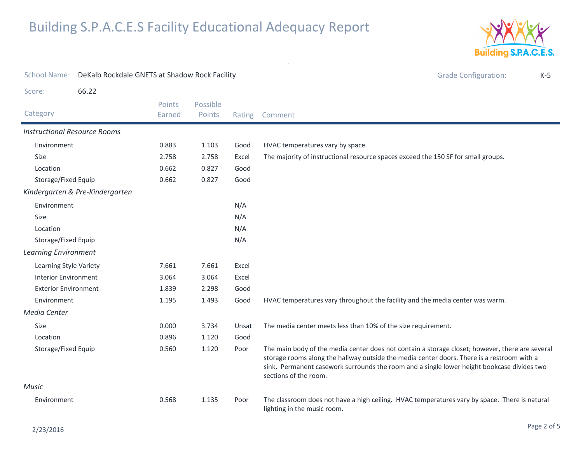

| <b>School Name:</b><br>DeKalb Rockdale GNETS at Shadow Rock Facility |                                 |                  |                    |        | <b>Grade Configuration:</b><br>$K-5$                                                                                                                                                                                                                                                                                 |
|----------------------------------------------------------------------|---------------------------------|------------------|--------------------|--------|----------------------------------------------------------------------------------------------------------------------------------------------------------------------------------------------------------------------------------------------------------------------------------------------------------------------|
| Score:                                                               | 66.22                           |                  |                    |        |                                                                                                                                                                                                                                                                                                                      |
| Category                                                             |                                 | Points<br>Earned | Possible<br>Points | Rating | Comment                                                                                                                                                                                                                                                                                                              |
| <b>Instructional Resource Rooms</b>                                  |                                 |                  |                    |        |                                                                                                                                                                                                                                                                                                                      |
| Environment                                                          |                                 | 0.883            | 1.103              | Good   | HVAC temperatures vary by space.                                                                                                                                                                                                                                                                                     |
| Size                                                                 |                                 | 2.758            | 2.758              | Excel  | The majority of instructional resource spaces exceed the 150 SF for small groups.                                                                                                                                                                                                                                    |
| Location                                                             |                                 | 0.662            | 0.827              | Good   |                                                                                                                                                                                                                                                                                                                      |
| Storage/Fixed Equip                                                  |                                 | 0.662            | 0.827              | Good   |                                                                                                                                                                                                                                                                                                                      |
|                                                                      | Kindergarten & Pre-Kindergarten |                  |                    |        |                                                                                                                                                                                                                                                                                                                      |
| Environment                                                          |                                 |                  |                    | N/A    |                                                                                                                                                                                                                                                                                                                      |
| Size                                                                 |                                 |                  |                    | N/A    |                                                                                                                                                                                                                                                                                                                      |
| Location                                                             |                                 |                  |                    | N/A    |                                                                                                                                                                                                                                                                                                                      |
| Storage/Fixed Equip                                                  |                                 |                  |                    | N/A    |                                                                                                                                                                                                                                                                                                                      |
| <b>Learning Environment</b>                                          |                                 |                  |                    |        |                                                                                                                                                                                                                                                                                                                      |
| Learning Style Variety                                               |                                 | 7.661            | 7.661              | Excel  |                                                                                                                                                                                                                                                                                                                      |
| <b>Interior Environment</b>                                          |                                 | 3.064            | 3.064              | Excel  |                                                                                                                                                                                                                                                                                                                      |
| <b>Exterior Environment</b>                                          |                                 | 1.839            | 2.298              | Good   |                                                                                                                                                                                                                                                                                                                      |
| Environment                                                          |                                 | 1.195            | 1.493              | Good   | HVAC temperatures vary throughout the facility and the media center was warm.                                                                                                                                                                                                                                        |
| Media Center                                                         |                                 |                  |                    |        |                                                                                                                                                                                                                                                                                                                      |
| Size                                                                 |                                 | 0.000            | 3.734              | Unsat  | The media center meets less than 10% of the size requirement.                                                                                                                                                                                                                                                        |
| Location                                                             |                                 | 0.896            | 1.120              | Good   |                                                                                                                                                                                                                                                                                                                      |
| Storage/Fixed Equip                                                  |                                 | 0.560            | 1.120              | Poor   | The main body of the media center does not contain a storage closet; however, there are several<br>storage rooms along the hallway outside the media center doors. There is a restroom with a<br>sink. Permanent casework surrounds the room and a single lower height bookcase divides two<br>sections of the room. |
| Music                                                                |                                 |                  |                    |        |                                                                                                                                                                                                                                                                                                                      |
| Environment                                                          |                                 | 0.568            | 1.135              | Poor   | The classroom does not have a high ceiling. HVAC temperatures vary by space. There is natural<br>lighting in the music room.                                                                                                                                                                                         |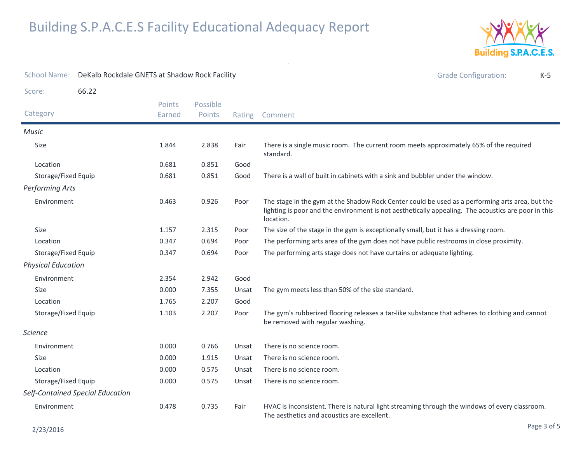

| <b>School Name:</b>       | DeKalb Rockdale GNETS at Shadow Rock Facility |                  |                    |        | <b>Grade Configuration:</b><br>$K-5$                                                                                                                                                                                |
|---------------------------|-----------------------------------------------|------------------|--------------------|--------|---------------------------------------------------------------------------------------------------------------------------------------------------------------------------------------------------------------------|
| Score:                    | 66.22                                         |                  |                    |        |                                                                                                                                                                                                                     |
| Category                  |                                               | Points<br>Earned | Possible<br>Points | Rating | Comment                                                                                                                                                                                                             |
| Music                     |                                               |                  |                    |        |                                                                                                                                                                                                                     |
| Size                      |                                               | 1.844            | 2.838              | Fair   | There is a single music room. The current room meets approximately 65% of the required<br>standard.                                                                                                                 |
| Location                  |                                               | 0.681            | 0.851              | Good   |                                                                                                                                                                                                                     |
| Storage/Fixed Equip       |                                               | 0.681            | 0.851              | Good   | There is a wall of built in cabinets with a sink and bubbler under the window.                                                                                                                                      |
| Performing Arts           |                                               |                  |                    |        |                                                                                                                                                                                                                     |
| Environment               |                                               | 0.463            | 0.926              | Poor   | The stage in the gym at the Shadow Rock Center could be used as a performing arts area, but the<br>lighting is poor and the environment is not aesthetically appealing. The acoustics are poor in this<br>location. |
| Size                      |                                               | 1.157            | 2.315              | Poor   | The size of the stage in the gym is exceptionally small, but it has a dressing room.                                                                                                                                |
| Location                  |                                               | 0.347            | 0.694              | Poor   | The performing arts area of the gym does not have public restrooms in close proximity.                                                                                                                              |
| Storage/Fixed Equip       |                                               | 0.347            | 0.694              | Poor   | The performing arts stage does not have curtains or adequate lighting.                                                                                                                                              |
| <b>Physical Education</b> |                                               |                  |                    |        |                                                                                                                                                                                                                     |
| Environment               |                                               | 2.354            | 2.942              | Good   |                                                                                                                                                                                                                     |
| Size                      |                                               | 0.000            | 7.355              | Unsat  | The gym meets less than 50% of the size standard.                                                                                                                                                                   |
| Location                  |                                               | 1.765            | 2.207              | Good   |                                                                                                                                                                                                                     |
| Storage/Fixed Equip       |                                               | 1.103            | 2.207              | Poor   | The gym's rubberized flooring releases a tar-like substance that adheres to clothing and cannot<br>be removed with regular washing.                                                                                 |
| <i>Science</i>            |                                               |                  |                    |        |                                                                                                                                                                                                                     |
| Environment               |                                               | 0.000            | 0.766              | Unsat  | There is no science room.                                                                                                                                                                                           |
| Size                      |                                               | 0.000            | 1.915              | Unsat  | There is no science room.                                                                                                                                                                                           |
| Location                  |                                               | 0.000            | 0.575              | Unsat  | There is no science room.                                                                                                                                                                                           |
| Storage/Fixed Equip       |                                               | 0.000            | 0.575              | Unsat  | There is no science room.                                                                                                                                                                                           |
|                           | Self-Contained Special Education              |                  |                    |        |                                                                                                                                                                                                                     |
| Environment               |                                               | 0.478            | 0.735              | Fair   | HVAC is inconsistent. There is natural light streaming through the windows of every classroom.<br>The aesthetics and acoustics are excellent.                                                                       |

 $\omega$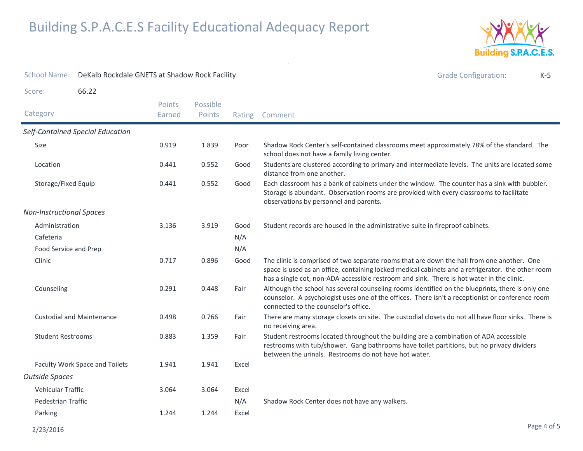

| <b>School Name:</b><br>DeKalb Rockdale GNETS at Shadow Rock Facility |                  |                    |        | <b>Grade Configuration:</b><br>$K-5$                                                                                                                                                                                                                                                         |
|----------------------------------------------------------------------|------------------|--------------------|--------|----------------------------------------------------------------------------------------------------------------------------------------------------------------------------------------------------------------------------------------------------------------------------------------------|
| 66.22<br>Score:                                                      |                  |                    |        |                                                                                                                                                                                                                                                                                              |
| Category                                                             | Points<br>Earned | Possible<br>Points | Rating | Comment                                                                                                                                                                                                                                                                                      |
| Self-Contained Special Education                                     |                  |                    |        |                                                                                                                                                                                                                                                                                              |
| Size                                                                 | 0.919            | 1.839              | Poor   | Shadow Rock Center's self-contained classrooms meet approximately 78% of the standard. The<br>school does not have a family living center.                                                                                                                                                   |
| Location                                                             | 0.441            | 0.552              | Good   | Students are clustered according to primary and intermediate levels. The units are located some<br>distance from one another.                                                                                                                                                                |
| Storage/Fixed Equip                                                  | 0.441            | 0.552              | Good   | Each classroom has a bank of cabinets under the window. The counter has a sink with bubbler.<br>Storage is abundant. Observation rooms are provided with every classrooms to facilitate<br>observations by personnel and parents.                                                            |
| <b>Non-Instructional Spaces</b>                                      |                  |                    |        |                                                                                                                                                                                                                                                                                              |
| Administration                                                       | 3.136            | 3.919              | Good   | Student records are housed in the administrative suite in fireproof cabinets.                                                                                                                                                                                                                |
| Cafeteria                                                            |                  |                    | N/A    |                                                                                                                                                                                                                                                                                              |
| Food Service and Prep                                                |                  |                    | N/A    |                                                                                                                                                                                                                                                                                              |
| Clinic                                                               | 0.717            | 0.896              | Good   | The clinic is comprised of two separate rooms that are down the hall from one another. One<br>space is used as an office, containing locked medical cabinets and a refrigerator. the other room<br>has a single cot, non-ADA-accessible restroom and sink. There is hot water in the clinic. |
| Counseling                                                           | 0.291            | 0.448              | Fair   | Although the school has several counseling rooms identified on the blueprints, there is only one<br>counselor. A psychologist uses one of the offices. There isn't a receptionist or conference room<br>connected to the counselor's office.                                                 |
| <b>Custodial and Maintenance</b>                                     | 0.498            | 0.766              | Fair   | There are many storage closets on site. The custodial closets do not all have floor sinks. There is<br>no receiving area.                                                                                                                                                                    |
| <b>Student Restrooms</b>                                             | 0.883            | 1.359              | Fair   | Student restrooms located throughout the building are a combination of ADA accessible<br>restrooms with tub/shower. Gang bathrooms have toilet partitions, but no privacy dividers<br>between the urinals. Restrooms do not have hot water.                                                  |
| Faculty Work Space and Toilets                                       | 1.941            | 1.941              | Excel  |                                                                                                                                                                                                                                                                                              |
| <b>Outside Spaces</b>                                                |                  |                    |        |                                                                                                                                                                                                                                                                                              |
| <b>Vehicular Traffic</b>                                             | 3.064            | 3.064              | Excel  |                                                                                                                                                                                                                                                                                              |
| Pedestrian Traffic                                                   |                  |                    | N/A    | Shadow Rock Center does not have any walkers.                                                                                                                                                                                                                                                |
| Parking                                                              | 1.244            | 1.244              | Excel  |                                                                                                                                                                                                                                                                                              |
| 2/23/2016                                                            |                  |                    |        | Page 4 of 5                                                                                                                                                                                                                                                                                  |